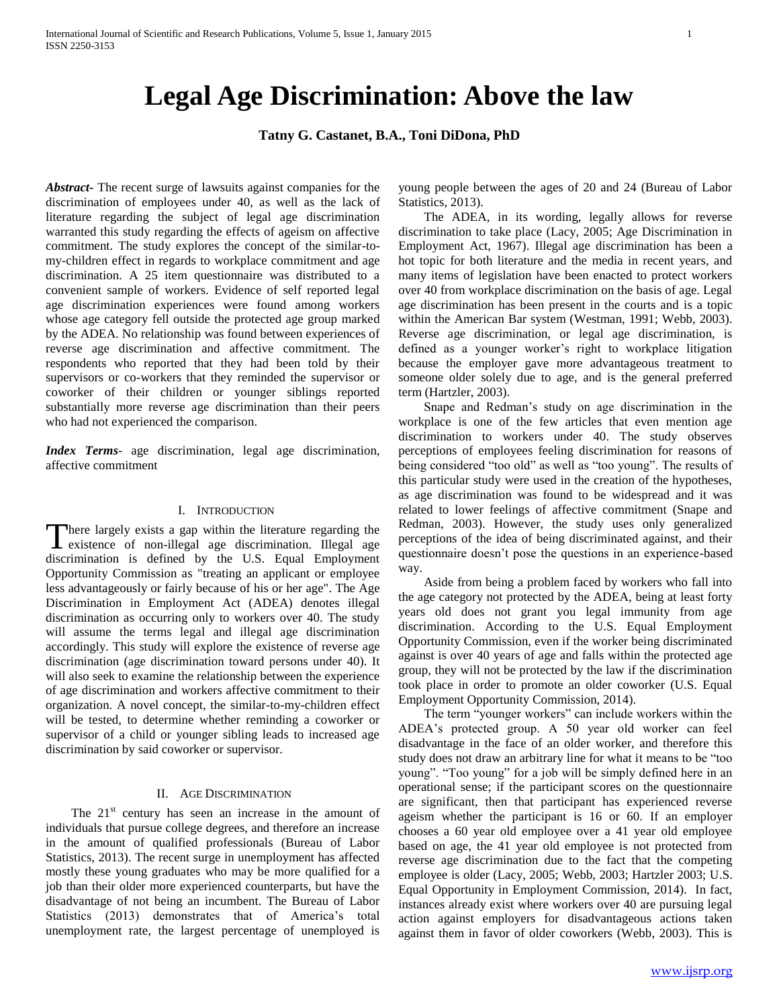# **Legal Age Discrimination: Above the law**

# **Tatny G. Castanet, B.A., Toni DiDona, PhD**

*Abstract***-** The recent surge of lawsuits against companies for the discrimination of employees under 40, as well as the lack of literature regarding the subject of legal age discrimination warranted this study regarding the effects of ageism on affective commitment. The study explores the concept of the similar-tomy-children effect in regards to workplace commitment and age discrimination. A 25 item questionnaire was distributed to a convenient sample of workers. Evidence of self reported legal age discrimination experiences were found among workers whose age category fell outside the protected age group marked by the ADEA. No relationship was found between experiences of reverse age discrimination and affective commitment. The respondents who reported that they had been told by their supervisors or co-workers that they reminded the supervisor or coworker of their children or younger siblings reported substantially more reverse age discrimination than their peers who had not experienced the comparison.

*Index Terms*- age discrimination, legal age discrimination, affective commitment

#### I. INTRODUCTION

here largely exists a gap within the literature regarding the There largely exists a gap within the literature regarding the existence of non-illegal age discrimination. Illegal age discrimination is defined by the U.S. Equal Employment Opportunity Commission as "treating an applicant or employee less advantageously or fairly because of his or her age". The Age Discrimination in Employment Act (ADEA) denotes illegal discrimination as occurring only to workers over 40. The study will assume the terms legal and illegal age discrimination accordingly. This study will explore the existence of reverse age discrimination (age discrimination toward persons under 40). It will also seek to examine the relationship between the experience of age discrimination and workers affective commitment to their organization. A novel concept, the similar-to-my-children effect will be tested, to determine whether reminding a coworker or supervisor of a child or younger sibling leads to increased age discrimination by said coworker or supervisor.

# II. AGE DISCRIMINATION

The  $21<sup>st</sup>$  century has seen an increase in the amount of individuals that pursue college degrees, and therefore an increase in the amount of qualified professionals (Bureau of Labor Statistics, 2013). The recent surge in unemployment has affected mostly these young graduates who may be more qualified for a job than their older more experienced counterparts, but have the disadvantage of not being an incumbent. The Bureau of Labor Statistics (2013) demonstrates that of America's total unemployment rate, the largest percentage of unemployed is

young people between the ages of 20 and 24 (Bureau of Labor Statistics, 2013).

 The ADEA, in its wording, legally allows for reverse discrimination to take place (Lacy, 2005; Age Discrimination in Employment Act, 1967). Illegal age discrimination has been a hot topic for both literature and the media in recent years, and many items of legislation have been enacted to protect workers over 40 from workplace discrimination on the basis of age. Legal age discrimination has been present in the courts and is a topic within the American Bar system (Westman, 1991; Webb, 2003). Reverse age discrimination, or legal age discrimination, is defined as a younger worker's right to workplace litigation because the employer gave more advantageous treatment to someone older solely due to age, and is the general preferred term (Hartzler, 2003).

 Snape and Redman's study on age discrimination in the workplace is one of the few articles that even mention age discrimination to workers under 40. The study observes perceptions of employees feeling discrimination for reasons of being considered "too old" as well as "too young". The results of this particular study were used in the creation of the hypotheses, as age discrimination was found to be widespread and it was related to lower feelings of affective commitment (Snape and Redman, 2003). However, the study uses only generalized perceptions of the idea of being discriminated against, and their questionnaire doesn't pose the questions in an experience-based way.

 Aside from being a problem faced by workers who fall into the age category not protected by the ADEA, being at least forty years old does not grant you legal immunity from age discrimination. According to the U.S. Equal Employment Opportunity Commission, even if the worker being discriminated against is over 40 years of age and falls within the protected age group, they will not be protected by the law if the discrimination took place in order to promote an older coworker (U.S. Equal Employment Opportunity Commission, 2014).

 The term "younger workers" can include workers within the ADEA's protected group. A 50 year old worker can feel disadvantage in the face of an older worker, and therefore this study does not draw an arbitrary line for what it means to be "too young". "Too young" for a job will be simply defined here in an operational sense; if the participant scores on the questionnaire are significant, then that participant has experienced reverse ageism whether the participant is 16 or 60. If an employer chooses a 60 year old employee over a 41 year old employee based on age, the 41 year old employee is not protected from reverse age discrimination due to the fact that the competing employee is older (Lacy, 2005; Webb, 2003; Hartzler 2003; U.S. Equal Opportunity in Employment Commission, 2014). In fact, instances already exist where workers over 40 are pursuing legal action against employers for disadvantageous actions taken against them in favor of older coworkers (Webb, 2003). This is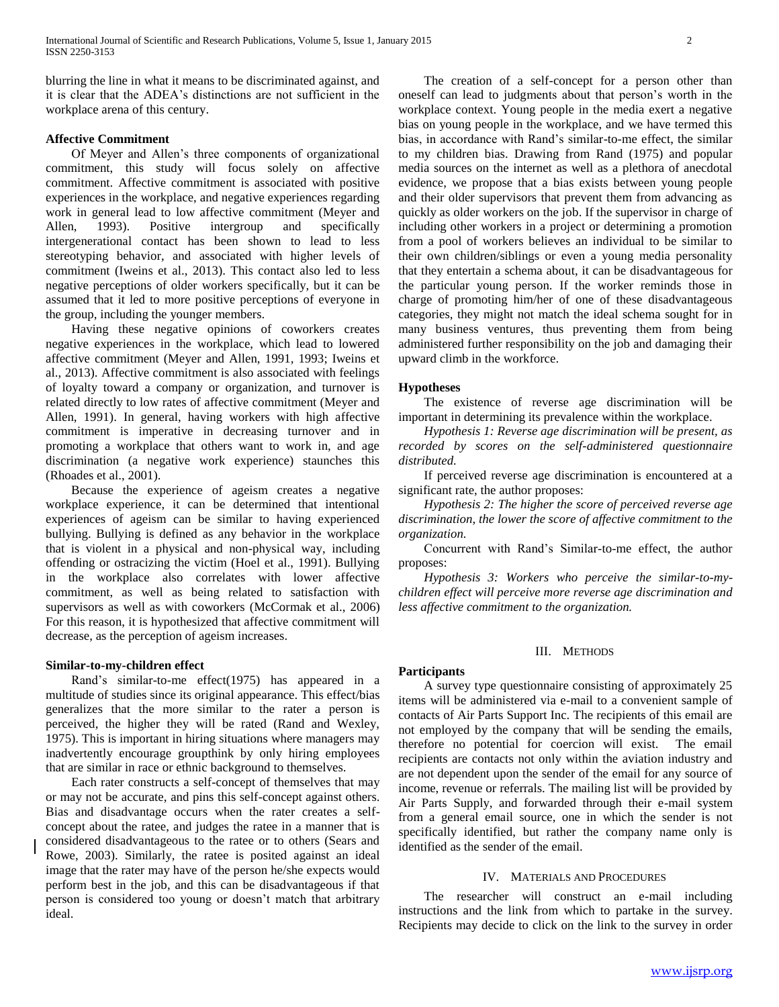blurring the line in what it means to be discriminated against, and it is clear that the ADEA's distinctions are not sufficient in the workplace arena of this century.

# **Affective Commitment**

 Of Meyer and Allen's three components of organizational commitment, this study will focus solely on affective commitment. Affective commitment is associated with positive experiences in the workplace, and negative experiences regarding work in general lead to low affective commitment (Meyer and Allen, 1993). Positive intergroup and specifically intergenerational contact has been shown to lead to less stereotyping behavior, and associated with higher levels of commitment (Iweins et al., 2013). This contact also led to less negative perceptions of older workers specifically, but it can be assumed that it led to more positive perceptions of everyone in the group, including the younger members.

 Having these negative opinions of coworkers creates negative experiences in the workplace, which lead to lowered affective commitment (Meyer and Allen, 1991, 1993; Iweins et al., 2013). Affective commitment is also associated with feelings of loyalty toward a company or organization, and turnover is related directly to low rates of affective commitment (Meyer and Allen, 1991). In general, having workers with high affective commitment is imperative in decreasing turnover and in promoting a workplace that others want to work in, and age discrimination (a negative work experience) staunches this (Rhoades et al., 2001).

 Because the experience of ageism creates a negative workplace experience, it can be determined that intentional experiences of ageism can be similar to having experienced bullying. Bullying is defined as any behavior in the workplace that is violent in a physical and non-physical way, including offending or ostracizing the victim (Hoel et al., 1991). Bullying in the workplace also correlates with lower affective commitment, as well as being related to satisfaction with supervisors as well as with coworkers (McCormak et al., 2006) For this reason, it is hypothesized that affective commitment will decrease, as the perception of ageism increases.

#### **Similar-to-my-children effect**

 Rand's similar-to-me effect(1975) has appeared in a multitude of studies since its original appearance. This effect/bias generalizes that the more similar to the rater a person is perceived, the higher they will be rated (Rand and Wexley, 1975). This is important in hiring situations where managers may inadvertently encourage groupthink by only hiring employees that are similar in race or ethnic background to themselves.

 Each rater constructs a self-concept of themselves that may or may not be accurate, and pins this self-concept against others. Bias and disadvantage occurs when the rater creates a selfconcept about the ratee, and judges the ratee in a manner that is considered disadvantageous to the ratee or to others (Sears and Rowe, 2003). Similarly, the ratee is posited against an ideal image that the rater may have of the person he/she expects would perform best in the job, and this can be disadvantageous if that person is considered too young or doesn't match that arbitrary ideal.

 The creation of a self-concept for a person other than oneself can lead to judgments about that person's worth in the workplace context. Young people in the media exert a negative bias on young people in the workplace, and we have termed this bias, in accordance with Rand's similar-to-me effect, the similar to my children bias. Drawing from Rand (1975) and popular media sources on the internet as well as a plethora of anecdotal evidence, we propose that a bias exists between young people and their older supervisors that prevent them from advancing as quickly as older workers on the job. If the supervisor in charge of including other workers in a project or determining a promotion from a pool of workers believes an individual to be similar to their own children/siblings or even a young media personality that they entertain a schema about, it can be disadvantageous for the particular young person. If the worker reminds those in charge of promoting him/her of one of these disadvantageous categories, they might not match the ideal schema sought for in many business ventures, thus preventing them from being administered further responsibility on the job and damaging their upward climb in the workforce.

# **Hypotheses**

 The existence of reverse age discrimination will be important in determining its prevalence within the workplace.

 *Hypothesis 1: Reverse age discrimination will be present, as recorded by scores on the self-administered questionnaire distributed.*

 If perceived reverse age discrimination is encountered at a significant rate, the author proposes:

 *Hypothesis 2: The higher the score of perceived reverse age discrimination, the lower the score of affective commitment to the organization.*

 Concurrent with Rand's Similar-to-me effect, the author proposes:

 *Hypothesis 3: Workers who perceive the similar-to-mychildren effect will perceive more reverse age discrimination and less affective commitment to the organization.*

# III. METHODS

# **Participants**

 A survey type questionnaire consisting of approximately 25 items will be administered via e-mail to a convenient sample of contacts of Air Parts Support Inc. The recipients of this email are not employed by the company that will be sending the emails, therefore no potential for coercion will exist. The email recipients are contacts not only within the aviation industry and are not dependent upon the sender of the email for any source of income, revenue or referrals. The mailing list will be provided by Air Parts Supply, and forwarded through their e-mail system from a general email source, one in which the sender is not specifically identified, but rather the company name only is identified as the sender of the email.

#### IV. MATERIALS AND PROCEDURES

 The researcher will construct an e-mail including instructions and the link from which to partake in the survey. Recipients may decide to click on the link to the survey in order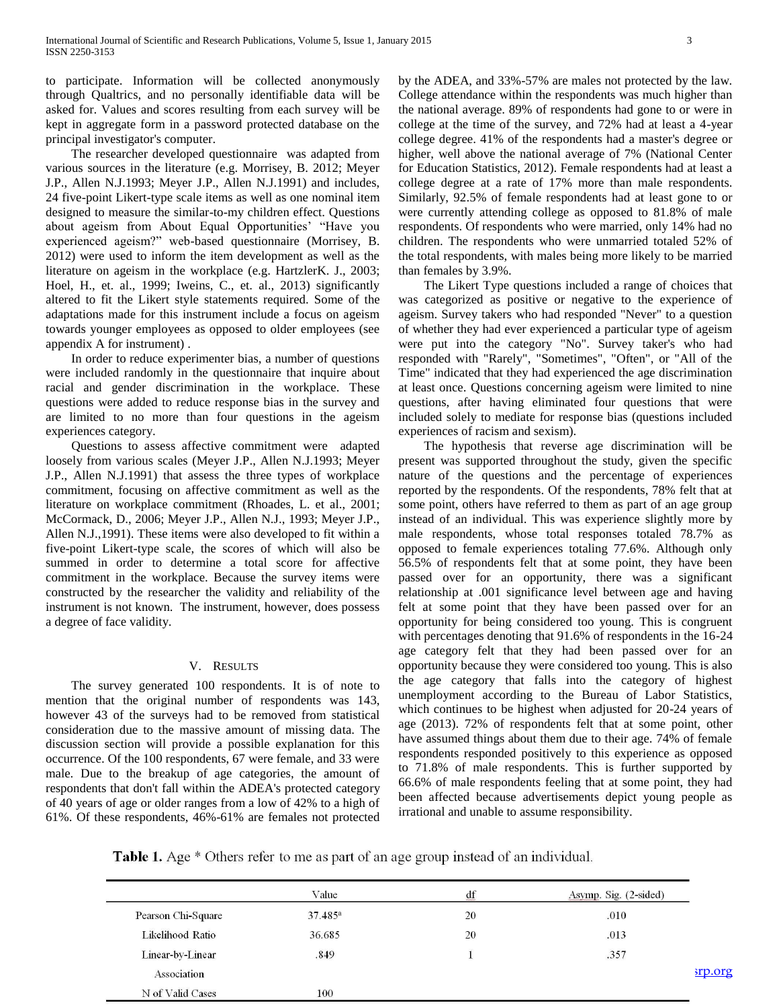to participate. Information will be collected anonymously through Qualtrics, and no personally identifiable data will be asked for. Values and scores resulting from each survey will be kept in aggregate form in a password protected database on the principal investigator's computer.

 The researcher developed questionnaire was adapted from various sources in the literature (e.g. Morrisey, B. 2012; Meyer J.P., Allen N.J.1993; Meyer J.P., Allen N.J.1991) and includes, 24 five-point Likert-type scale items as well as one nominal item designed to measure the similar-to-my children effect. Questions about ageism from About Equal Opportunities' "Have you experienced ageism?" web-based questionnaire (Morrisey, B. 2012) were used to inform the item development as well as the literature on ageism in the workplace (e.g. HartzlerK. J., 2003; Hoel, H., et. al., 1999; Iweins, C., et. al., 2013) significantly altered to fit the Likert style statements required. Some of the adaptations made for this instrument include a focus on ageism towards younger employees as opposed to older employees (see appendix A for instrument) .

 In order to reduce experimenter bias, a number of questions were included randomly in the questionnaire that inquire about racial and gender discrimination in the workplace. These questions were added to reduce response bias in the survey and are limited to no more than four questions in the ageism experiences category.

 Questions to assess affective commitment were adapted loosely from various scales (Meyer J.P., Allen N.J.1993; Meyer J.P., Allen N.J.1991) that assess the three types of workplace commitment, focusing on affective commitment as well as the literature on workplace commitment (Rhoades, L. et al., 2001; McCormack, D., 2006; Meyer J.P., Allen N.J., 1993; Meyer J.P., Allen N.J.,1991). These items were also developed to fit within a five-point Likert-type scale, the scores of which will also be summed in order to determine a total score for affective commitment in the workplace. Because the survey items were constructed by the researcher the validity and reliability of the instrument is not known. The instrument, however, does possess a degree of face validity.

# V. RESULTS

 The survey generated 100 respondents. It is of note to mention that the original number of respondents was 143, however 43 of the surveys had to be removed from statistical consideration due to the massive amount of missing data. The discussion section will provide a possible explanation for this occurrence. Of the 100 respondents, 67 were female, and 33 were male. Due to the breakup of age categories, the amount of respondents that don't fall within the ADEA's protected category of 40 years of age or older ranges from a low of 42% to a high of 61%. Of these respondents, 46%-61% are females not protected by the ADEA, and 33%-57% are males not protected by the law. College attendance within the respondents was much higher than the national average. 89% of respondents had gone to or were in college at the time of the survey, and 72% had at least a 4-year college degree. 41% of the respondents had a master's degree or higher, well above the national average of 7% (National Center for Education Statistics, 2012). Female respondents had at least a college degree at a rate of 17% more than male respondents. Similarly, 92.5% of female respondents had at least gone to or were currently attending college as opposed to 81.8% of male respondents. Of respondents who were married, only 14% had no children. The respondents who were unmarried totaled 52% of the total respondents, with males being more likely to be married than females by 3.9%.

 The Likert Type questions included a range of choices that was categorized as positive or negative to the experience of ageism. Survey takers who had responded "Never" to a question of whether they had ever experienced a particular type of ageism were put into the category "No". Survey taker's who had responded with "Rarely", "Sometimes", "Often", or "All of the Time" indicated that they had experienced the age discrimination at least once. Questions concerning ageism were limited to nine questions, after having eliminated four questions that were included solely to mediate for response bias (questions included experiences of racism and sexism).

 The hypothesis that reverse age discrimination will be present was supported throughout the study, given the specific nature of the questions and the percentage of experiences reported by the respondents. Of the respondents, 78% felt that at some point, others have referred to them as part of an age group instead of an individual. This was experience slightly more by male respondents, whose total responses totaled 78.7% as opposed to female experiences totaling 77.6%. Although only 56.5% of respondents felt that at some point, they have been passed over for an opportunity, there was a significant relationship at .001 significance level between age and having felt at some point that they have been passed over for an opportunity for being considered too young. This is congruent with percentages denoting that 91.6% of respondents in the 16-24 age category felt that they had been passed over for an opportunity because they were considered too young. This is also the age category that falls into the category of highest unemployment according to the Bureau of Labor Statistics, which continues to be highest when adjusted for 20-24 years of age (2013). 72% of respondents felt that at some point, other have assumed things about them due to their age. 74% of female respondents responded positively to this experience as opposed to 71.8% of male respondents. This is further supported by 66.6% of male respondents feeling that at some point, they had been affected because advertisements depict young people as irrational and unable to assume responsibility.

**Table 1.** Age \* Others refer to me as part of an age group instead of an individual.

|                    | Value      | df | Asymp. Sig. (2-sided) |         |
|--------------------|------------|----|-----------------------|---------|
| Pearson Chi-Square | $37.485^a$ | 20 | .010                  |         |
| Likelihood Ratio   | 36.685     | 20 | .013                  |         |
| Linear-by-Linear   | .849       |    | .357                  |         |
| Association        |            |    |                       | srp.org |
| N of Valid Cases   | 100        |    |                       |         |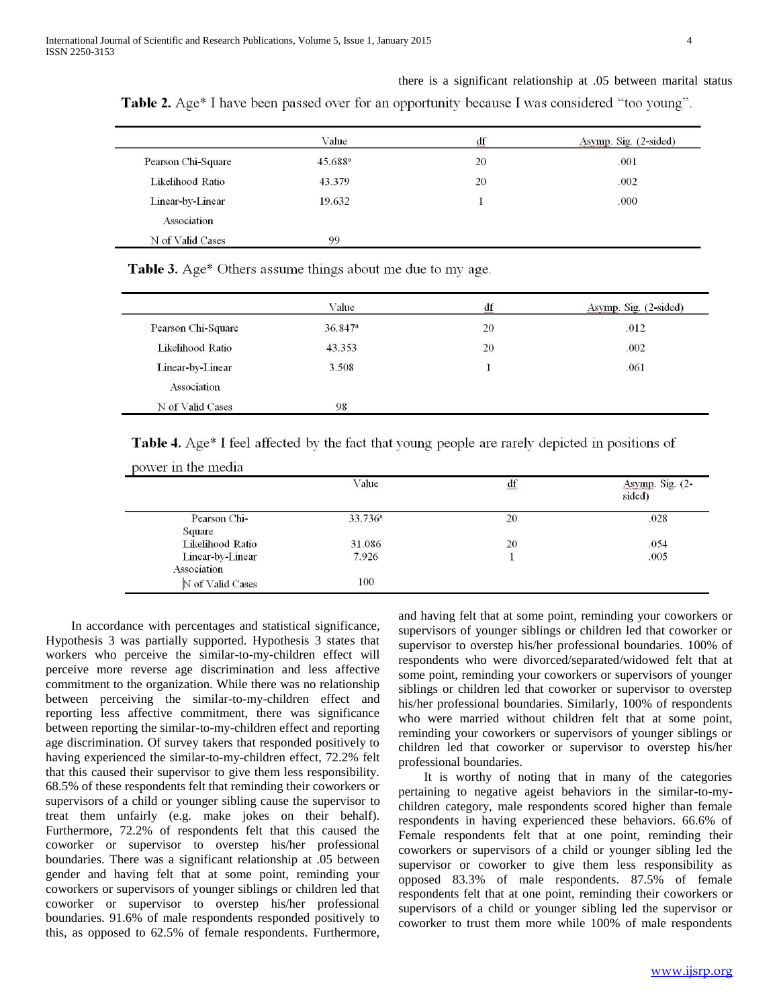|                    | Value               | $\mathrm{d}\mathrm{f}$ | Asymp. Sig. (2-sided) |
|--------------------|---------------------|------------------------|-----------------------|
| Pearson Chi-Square | 45.688 <sup>a</sup> | 20                     | .001                  |
| Likelihood Ratio   | 43.379              | 20                     | .002                  |
| Linear-by-Linear   | 19.632              |                        | .000                  |
| Association        |                     |                        |                       |
| N of Valid Cases   | 99                  |                        |                       |

Table 2. Age\* I have been passed over for an opportunity because I was considered "too young".

**Table 3.** Age\* Others assume things about me due to my age.

|                    | Value                 | $\mathrm{d}\mathrm{f}$ | Asymp. Sig. (2-sided) |
|--------------------|-----------------------|------------------------|-----------------------|
| Pearson Chi-Square | $36.847$ <sup>a</sup> | 20                     | .012                  |
| Likelihood Ratio   | 43.353                | 20                     | .002                  |
| Linear-by-Linear   | 3.508                 |                        | .061                  |
| Association        |                       |                        |                       |
| N of Valid Cases   | 12000000<br>98        |                        |                       |

Table 4. Age\* I feel affected by the fact that young people are rarely depicted in positions of

|                  | Value               | df | Asymp. Sig. (2-<br>sided) |
|------------------|---------------------|----|---------------------------|
| Pearson Chi-     | 33.736 <sup>a</sup> | 20 | .028                      |
| Square           |                     |    |                           |
| Likelihood Ratio | 31.086              | 20 | .054                      |
| Linear-by-Linear | 7.926               |    | .005                      |
| Association      |                     |    |                           |
| N of Valid Cases | 100                 |    |                           |

 In accordance with percentages and statistical significance, Hypothesis 3 was partially supported. Hypothesis 3 states that workers who perceive the similar-to-my-children effect will perceive more reverse age discrimination and less affective commitment to the organization. While there was no relationship between perceiving the similar-to-my-children effect and reporting less affective commitment, there was significance between reporting the similar-to-my-children effect and reporting age discrimination. Of survey takers that responded positively to having experienced the similar-to-my-children effect, 72.2% felt that this caused their supervisor to give them less responsibility. 68.5% of these respondents felt that reminding their coworkers or supervisors of a child or younger sibling cause the supervisor to treat them unfairly (e.g. make jokes on their behalf). Furthermore, 72.2% of respondents felt that this caused the coworker or supervisor to overstep his/her professional boundaries. There was a significant relationship at .05 between gender and having felt that at some point, reminding your coworkers or supervisors of younger siblings or children led that coworker or supervisor to overstep his/her professional boundaries. 91.6% of male respondents responded positively to this, as opposed to 62.5% of female respondents. Furthermore,

power in the media

and having felt that at some point, reminding your coworkers or supervisors of younger siblings or children led that coworker or supervisor to overstep his/her professional boundaries. 100% of respondents who were divorced/separated/widowed felt that at some point, reminding your coworkers or supervisors of younger siblings or children led that coworker or supervisor to overstep his/her professional boundaries. Similarly, 100% of respondents who were married without children felt that at some point, reminding your coworkers or supervisors of younger siblings or children led that coworker or supervisor to overstep his/her professional boundaries.

there is a significant relationship at .05 between marital status

 It is worthy of noting that in many of the categories pertaining to negative ageist behaviors in the similar-to-mychildren category, male respondents scored higher than female respondents in having experienced these behaviors. 66.6% of Female respondents felt that at one point, reminding their coworkers or supervisors of a child or younger sibling led the supervisor or coworker to give them less responsibility as opposed 83.3% of male respondents. 87.5% of female respondents felt that at one point, reminding their coworkers or supervisors of a child or younger sibling led the supervisor or coworker to trust them more while 100% of male respondents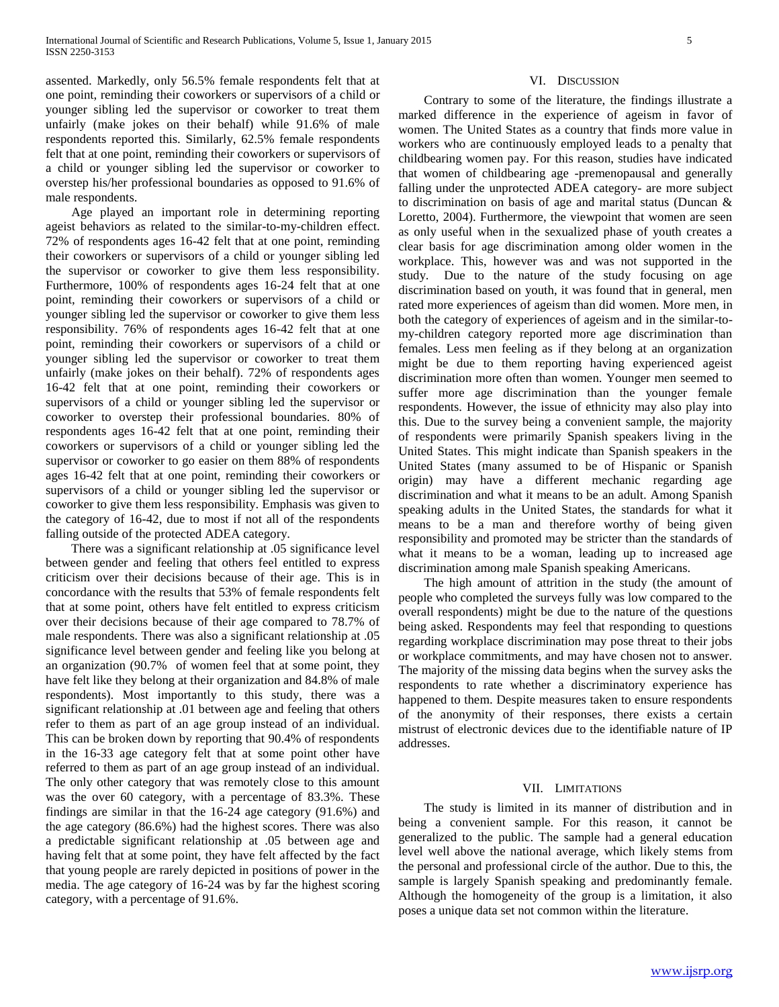assented. Markedly, only 56.5% female respondents felt that at one point, reminding their coworkers or supervisors of a child or younger sibling led the supervisor or coworker to treat them unfairly (make jokes on their behalf) while 91.6% of male respondents reported this. Similarly, 62.5% female respondents felt that at one point, reminding their coworkers or supervisors of a child or younger sibling led the supervisor or coworker to overstep his/her professional boundaries as opposed to 91.6% of male respondents.

 Age played an important role in determining reporting ageist behaviors as related to the similar-to-my-children effect. 72% of respondents ages 16-42 felt that at one point, reminding their coworkers or supervisors of a child or younger sibling led the supervisor or coworker to give them less responsibility. Furthermore, 100% of respondents ages 16-24 felt that at one point, reminding their coworkers or supervisors of a child or younger sibling led the supervisor or coworker to give them less responsibility. 76% of respondents ages 16-42 felt that at one point, reminding their coworkers or supervisors of a child or younger sibling led the supervisor or coworker to treat them unfairly (make jokes on their behalf). 72% of respondents ages 16-42 felt that at one point, reminding their coworkers or supervisors of a child or younger sibling led the supervisor or coworker to overstep their professional boundaries. 80% of respondents ages 16-42 felt that at one point, reminding their coworkers or supervisors of a child or younger sibling led the supervisor or coworker to go easier on them 88% of respondents ages 16-42 felt that at one point, reminding their coworkers or supervisors of a child or younger sibling led the supervisor or coworker to give them less responsibility. Emphasis was given to the category of 16-42, due to most if not all of the respondents falling outside of the protected ADEA category.

 There was a significant relationship at .05 significance level between gender and feeling that others feel entitled to express criticism over their decisions because of their age. This is in concordance with the results that 53% of female respondents felt that at some point, others have felt entitled to express criticism over their decisions because of their age compared to 78.7% of male respondents. There was also a significant relationship at .05 significance level between gender and feeling like you belong at an organization (90.7% of women feel that at some point, they have felt like they belong at their organization and 84.8% of male respondents). Most importantly to this study, there was a significant relationship at .01 between age and feeling that others refer to them as part of an age group instead of an individual. This can be broken down by reporting that 90.4% of respondents in the 16-33 age category felt that at some point other have referred to them as part of an age group instead of an individual. The only other category that was remotely close to this amount was the over 60 category, with a percentage of 83.3%. These findings are similar in that the 16-24 age category (91.6%) and the age category (86.6%) had the highest scores. There was also a predictable significant relationship at .05 between age and having felt that at some point, they have felt affected by the fact that young people are rarely depicted in positions of power in the media. The age category of 16-24 was by far the highest scoring category, with a percentage of 91.6%.

#### VI. DISCUSSION

 Contrary to some of the literature, the findings illustrate a marked difference in the experience of ageism in favor of women. The United States as a country that finds more value in workers who are continuously employed leads to a penalty that childbearing women pay. For this reason, studies have indicated that women of childbearing age -premenopausal and generally falling under the unprotected ADEA category- are more subject to discrimination on basis of age and marital status (Duncan & Loretto, 2004). Furthermore, the viewpoint that women are seen as only useful when in the sexualized phase of youth creates a clear basis for age discrimination among older women in the workplace. This, however was and was not supported in the study. Due to the nature of the study focusing on age discrimination based on youth, it was found that in general, men rated more experiences of ageism than did women. More men, in both the category of experiences of ageism and in the similar-tomy-children category reported more age discrimination than females. Less men feeling as if they belong at an organization might be due to them reporting having experienced ageist discrimination more often than women. Younger men seemed to suffer more age discrimination than the younger female respondents. However, the issue of ethnicity may also play into this. Due to the survey being a convenient sample, the majority of respondents were primarily Spanish speakers living in the United States. This might indicate than Spanish speakers in the United States (many assumed to be of Hispanic or Spanish origin) may have a different mechanic regarding age discrimination and what it means to be an adult. Among Spanish speaking adults in the United States, the standards for what it means to be a man and therefore worthy of being given responsibility and promoted may be stricter than the standards of what it means to be a woman, leading up to increased age discrimination among male Spanish speaking Americans.

 The high amount of attrition in the study (the amount of people who completed the surveys fully was low compared to the overall respondents) might be due to the nature of the questions being asked. Respondents may feel that responding to questions regarding workplace discrimination may pose threat to their jobs or workplace commitments, and may have chosen not to answer. The majority of the missing data begins when the survey asks the respondents to rate whether a discriminatory experience has happened to them. Despite measures taken to ensure respondents of the anonymity of their responses, there exists a certain mistrust of electronic devices due to the identifiable nature of IP addresses.

#### VII. LIMITATIONS

 The study is limited in its manner of distribution and in being a convenient sample. For this reason, it cannot be generalized to the public. The sample had a general education level well above the national average, which likely stems from the personal and professional circle of the author. Due to this, the sample is largely Spanish speaking and predominantly female. Although the homogeneity of the group is a limitation, it also poses a unique data set not common within the literature.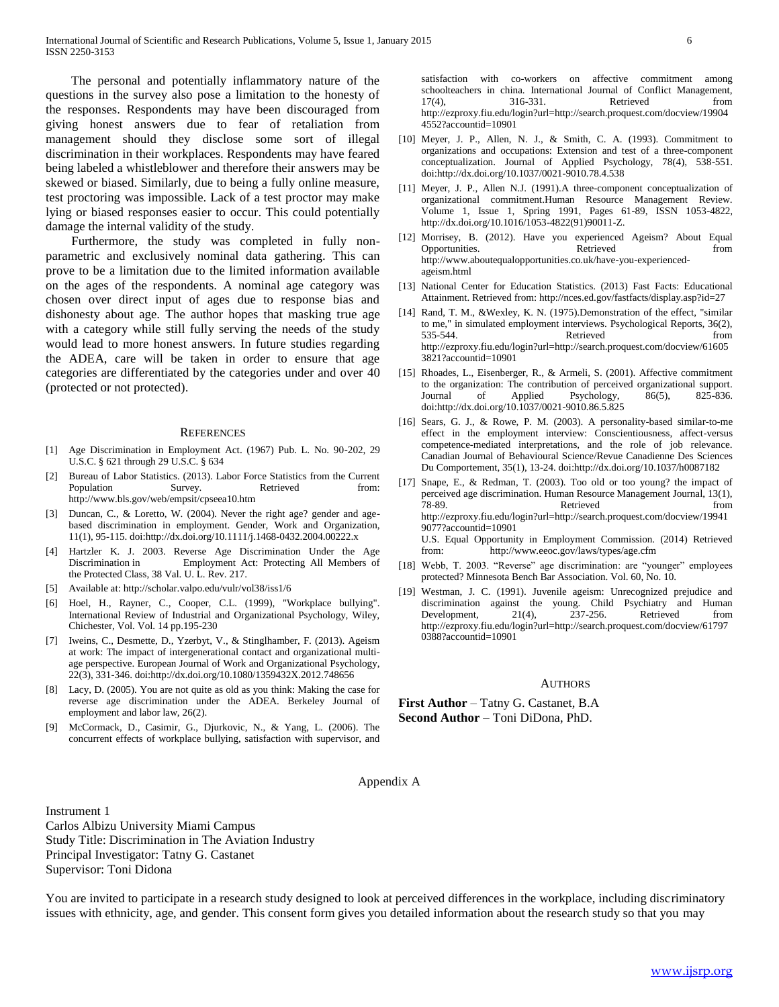The personal and potentially inflammatory nature of the questions in the survey also pose a limitation to the honesty of the responses. Respondents may have been discouraged from giving honest answers due to fear of retaliation from management should they disclose some sort of illegal discrimination in their workplaces. Respondents may have feared being labeled a whistleblower and therefore their answers may be skewed or biased. Similarly, due to being a fully online measure, test proctoring was impossible. Lack of a test proctor may make lying or biased responses easier to occur. This could potentially damage the internal validity of the study.

 Furthermore, the study was completed in fully nonparametric and exclusively nominal data gathering. This can prove to be a limitation due to the limited information available on the ages of the respondents. A nominal age category was chosen over direct input of ages due to response bias and dishonesty about age. The author hopes that masking true age with a category while still fully serving the needs of the study would lead to more honest answers. In future studies regarding the ADEA, care will be taken in order to ensure that age categories are differentiated by the categories under and over 40 (protected or not protected).

#### **REFERENCES**

- [1] Age Discrimination in Employment Act. (1967) Pub. L. No. 90-202, 29 U.S.C. § 621 through 29 U.S.C. § 634
- [2] Bureau of Labor Statistics. (2013). Labor Force Statistics from the Current Population Survey. Retrieved from: http://www.bls.gov/web/empsit/cpseea10.htm
- [3] Duncan, C., & Loretto, W. (2004). Never the right age? gender and agebased discrimination in employment. Gender, Work and Organization, 11(1), 95-115. doi:http://dx.doi.org/10.1111/j.1468-0432.2004.00222.x
- [4] Hartzler K. J. 2003. Reverse Age Discrimination Under the Age Discrimination in Employment Act: Protecting All Members of the Protected Class, 38 Val. U. L. Rev. 217.
- [5] Available at: http://scholar.valpo.edu/vulr/vol38/iss1/6
- [6] Hoel, H., Rayner, C., Cooper, C.L. (1999), "Workplace bullying". International Review of Industrial and Organizational Psychology, Wiley, Chichester, Vol. Vol. 14 pp.195-230
- [7] Iweins, C., Desmette, D., Yzerbyt, V., & Stinglhamber, F. (2013). Ageism at work: The impact of intergenerational contact and organizational multiage perspective. European Journal of Work and Organizational Psychology, 22(3), 331-346. doi:http://dx.doi.org/10.1080/1359432X.2012.748656
- [8] Lacy, D. (2005). You are not quite as old as you think: Making the case for reverse age discrimination under the ADEA. Berkeley Journal of employment and labor law, 26(2).
- [9] McCormack, D., Casimir, G., Djurkovic, N., & Yang, L. (2006). The concurrent effects of workplace bullying, satisfaction with supervisor, and

satisfaction with co-workers on affective commitment among schoolteachers in china. International Journal of Conflict Management, 17(4), 316-331. Retrieved from http://ezproxy.fiu.edu/login?url=http://search.proquest.com/docview/19904 4552?accountid=10901

- [10] Meyer, J. P., Allen, N. J., & Smith, C. A. (1993). Commitment to organizations and occupations: Extension and test of a three-component conceptualization. Journal of Applied Psychology, 78(4), 538-551. doi:http://dx.doi.org/10.1037/0021-9010.78.4.538
- [11] Meyer, J. P., Allen N.J. (1991).A three-component conceptualization of organizational commitment.Human Resource Management Review. Volume 1, Issue 1, Spring 1991, Pages 61-89, ISSN 1053-4822, http://dx.doi.org/10.1016/1053-4822(91)90011-Z.
- [12] Morrisey, B. (2012). Have you experienced Ageism? About Equal Opportunities. Retrieved from Retrieved from  $\mathbb{R}$ http://www.aboutequalopportunities.co.uk/have-you-experiencedageism.html
- [13] National Center for Education Statistics. (2013) Fast Facts: Educational Attainment. Retrieved from: http://nces.ed.gov/fastfacts/display.asp?id=27
- [14] Rand, T. M., &Wexley, K. N. (1975).Demonstration of the effect, "similar to me," in simulated employment interviews. Psychological Reports, 36(2), 535-544. Retrieved from http://ezproxy.fiu.edu/login?url=http://search.proquest.com/docview/61605 3821?accountid=10901
- [15] Rhoades, L., Eisenberger, R., & Armeli, S. (2001). Affective commitment to the organization: The contribution of perceived organizational support. Journal of Applied Psychology, 86(5), 825-836. doi:http://dx.doi.org/10.1037/0021-9010.86.5.825
- [16] Sears, G. J., & Rowe, P. M. (2003). A personality-based similar-to-me effect in the employment interview: Conscientiousness, affect-versus competence-mediated interpretations, and the role of job relevance. Canadian Journal of Behavioural Science/Revue Canadienne Des Sciences Du Comportement, 35(1), 13-24. doi:http://dx.doi.org/10.1037/h0087182
- [17] Snape, E., & Redman, T. (2003). Too old or too young? the impact of perceived age discrimination. Human Resource Management Journal, 13(1), 78-89. Retrieved from http://ezproxy.fiu.edu/login?url=http://search.proquest.com/docview/19941 9077?accountid=10901 U.S. Equal Opportunity in Employment Commission. (2014) Retrieved from: http://www.eeoc.gov/laws/types/age.cfm
- [18] Webb, T. 2003. "Reverse" age discrimination: are "younger" employees protected? Minnesota Bench Bar Association. Vol. 60, No. 10.
- [19] Westman, J. C. (1991). Juvenile ageism: Unrecognized prejudice and discrimination against the young. Child Psychiatry and Human Development,  $21(4)$ ,  $237-256$ . Retrieved from http://ezproxy.fiu.edu/login?url=http://search.proquest.com/docview/61797 0388?accountid=10901

#### AUTHORS

**First Author** – Tatny G. Castanet, B.A **Second Author** – Toni DiDona, PhD.

Appendix A

Instrument 1 Carlos Albizu University Miami Campus Study Title: Discrimination in The Aviation Industry Principal Investigator: Tatny G. Castanet Supervisor: Toni Didona

You are invited to participate in a research study designed to look at perceived differences in the workplace, including discriminatory issues with ethnicity, age, and gender. This consent form gives you detailed information about the research study so that you may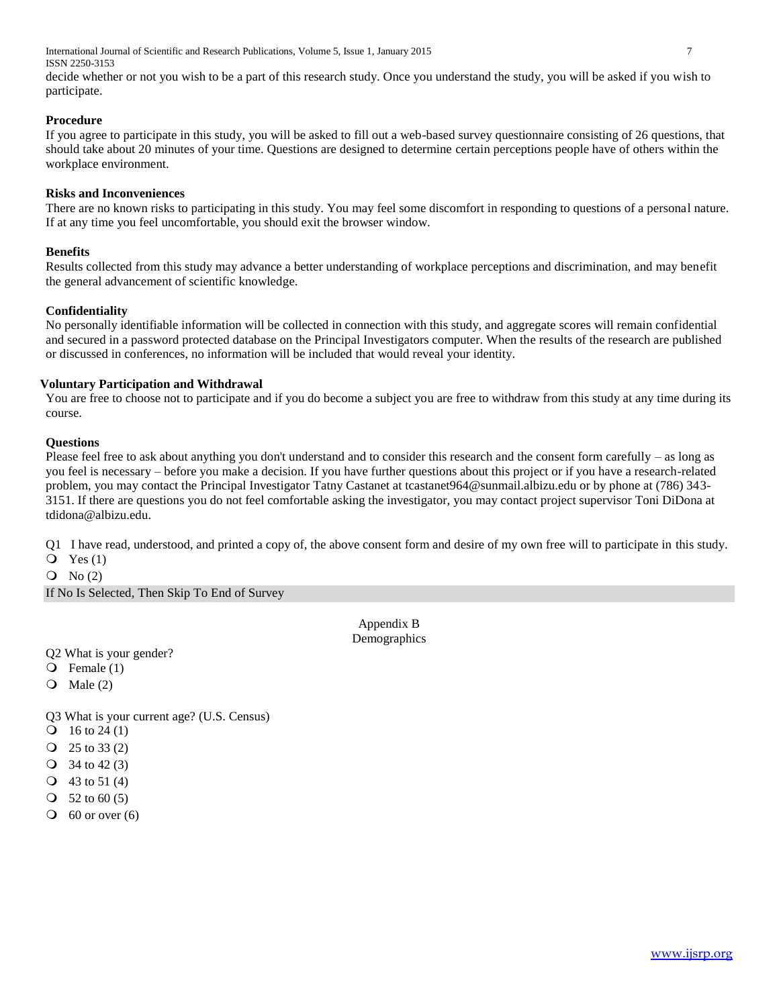International Journal of Scientific and Research Publications, Volume 5, Issue 1, January 2015 7 ISSN 2250-3153

decide whether or not you wish to be a part of this research study. Once you understand the study, you will be asked if you wish to participate.

# **Procedure**

If you agree to participate in this study, you will be asked to fill out a web-based survey questionnaire consisting of 26 questions, that should take about 20 minutes of your time. Questions are designed to determine certain perceptions people have of others within the workplace environment.

#### **Risks and Inconveniences**

There are no known risks to participating in this study. You may feel some discomfort in responding to questions of a personal nature. If at any time you feel uncomfortable, you should exit the browser window.

# **Benefits**

Results collected from this study may advance a better understanding of workplace perceptions and discrimination, and may benefit the general advancement of scientific knowledge.

# **Confidentiality**

No personally identifiable information will be collected in connection with this study, and aggregate scores will remain confidential and secured in a password protected database on the Principal Investigators computer. When the results of the research are published or discussed in conferences, no information will be included that would reveal your identity.

# **Voluntary Participation and Withdrawal**

You are free to choose not to participate and if you do become a subject you are free to withdraw from this study at any time during its course.

# **Questions**

Please feel free to ask about anything you don't understand and to consider this research and the consent form carefully – as long as you feel is necessary – before you make a decision. If you have further questions about this project or if you have a research-related problem, you may contact the Principal Investigator Tatny Castanet at tcastanet964@sunmail.albizu.edu or by phone at (786) 343- 3151. If there are questions you do not feel comfortable asking the investigator, you may contact project supervisor Toni DiDona at tdidona@albizu.edu.

Q1 I have read, understood, and printed a copy of, the above consent form and desire of my own free will to participate in this study.

- $Q$  Yes  $(1)$
- $Q \text{ No} (2)$

If No Is Selected, Then Skip To End of Survey

Appendix B Demographics

Q2 What is your gender?

- Female (1)
- $\overline{Q}$  Male (2)

Q3 What is your current age? (U.S. Census)

- $\text{O}$  16 to 24 (1)
- $Q$  25 to 33 (2)
- $Q$  34 to 42 (3)
- $Q$  43 to 51 (4)
- $\bigcirc$  52 to 60 (5)
- $\bigcirc$  60 or over (6)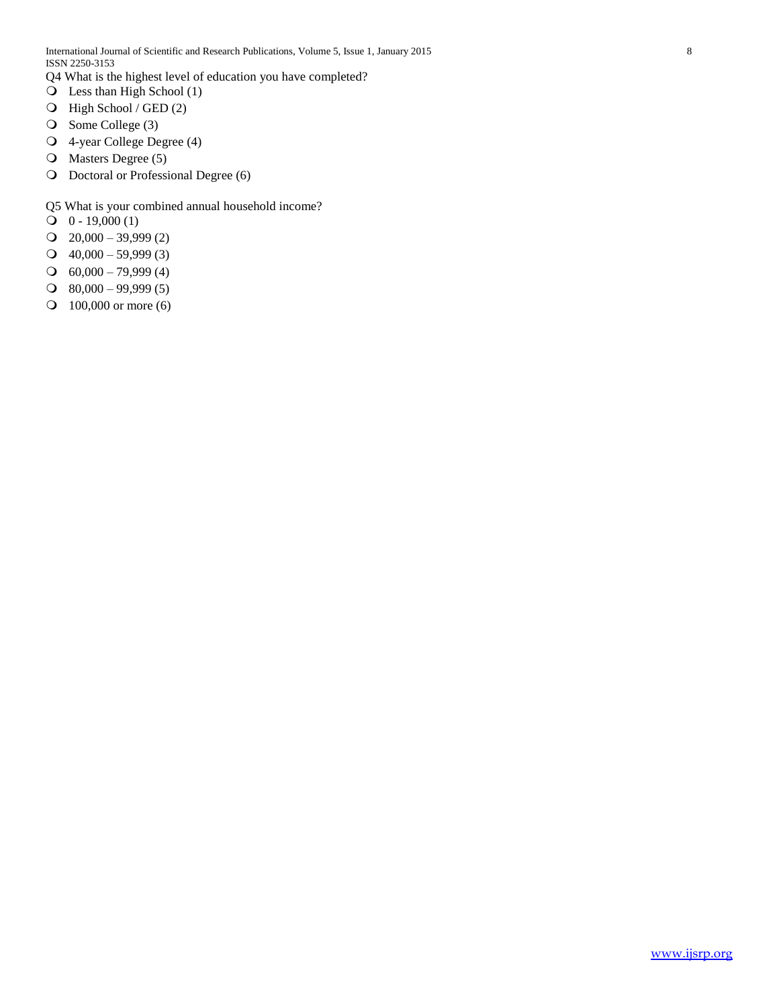Q4 What is the highest level of education you have completed?

- Less than High School (1)
- High School / GED (2)
- O Some College (3)
- 4-year College Degree (4)
- O Masters Degree (5)
- O Doctoral or Professional Degree (6)
- Q5 What is your combined annual household income?
- $\text{O}$  0 19,000 (1)
- $Q$  20,000 39,999 (2)
- $Q$  40,000 59,999 (3)
- $\bigcirc$  60,000 79,999 (4)
- $\Omega$  80,000 99,999 (5)
- **O** 100,000 or more (6)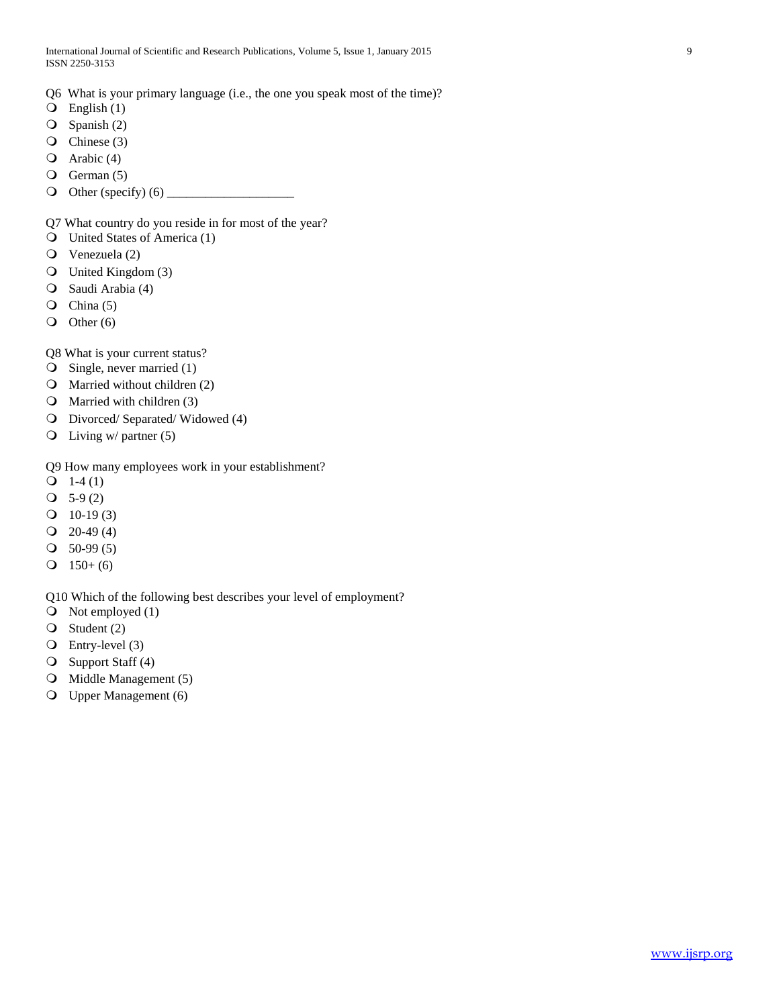- Q6 What is your primary language (i.e., the one you speak most of the time)?
- $\overline{Q}$  English (1)
- $\overline{O}$  Spanish (2)
- $\overline{O}$  Chinese (3)
- Arabic (4)
- $\overline{Q}$  German (5)
- Other (specify) (6) \_\_\_\_\_\_\_\_\_\_\_\_\_\_\_\_\_\_\_\_

Q7 What country do you reside in for most of the year?

- United States of America (1)
- Venezuela (2)
- United Kingdom (3)
- Saudi Arabia (4)
- $\overline{Q}$  China (5)
- $\overline{O}$  Other (6)
- Q8 What is your current status?
- $\bigcirc$  Single, never married (1)
- Married without children (2)
- $\Omega$  Married with children (3)
- Divorced/ Separated/ Widowed (4)
- $\overline{Q}$  Living w/ partner (5)
- Q9 How many employees work in your establishment?
- $Q_1$  1-4 (1)
- $Q$  5-9 (2)
- $Q$  10-19 (3)
- $Q$  20-49 (4)
- $\textcircled{1}$  50-99 (5)
- $Q$  150+ (6)

Q10 Which of the following best describes your level of employment?

- $\bigcirc$  Not employed (1)
- $\bigcirc$  Student (2)
- Entry-level (3)
- Support Staff (4)
- **O** Middle Management (5)
- Upper Management (6)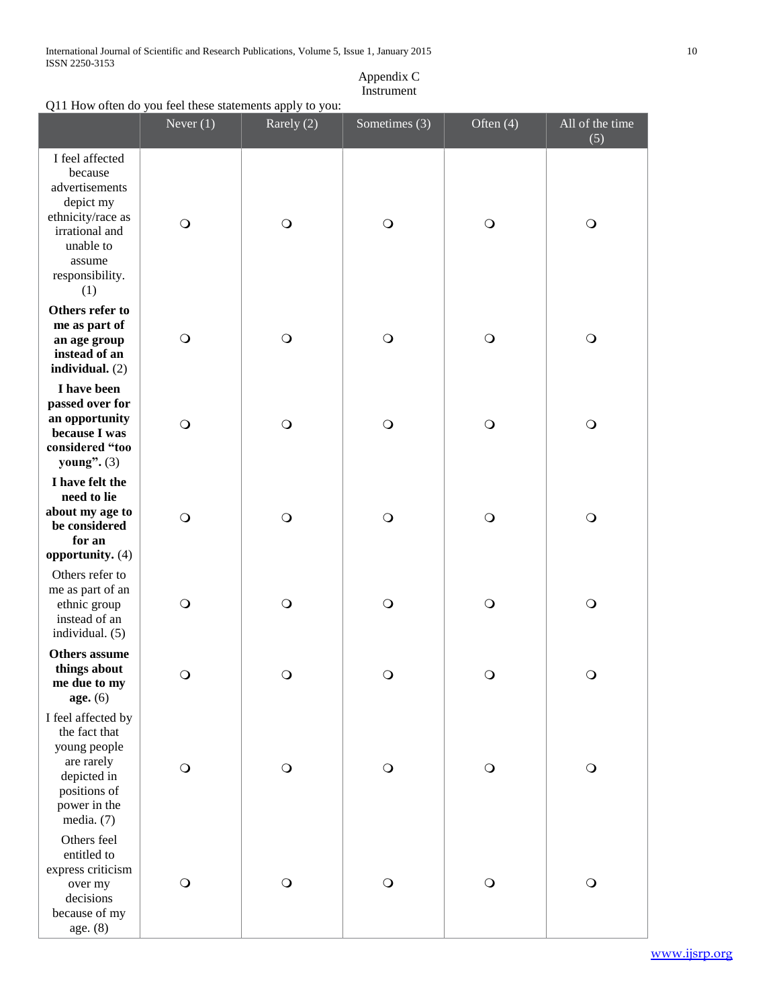International Journal of Scientific and Research Publications, Volume 5, Issue 1, January 2015 10 ISSN 2250-3153

# Appendix C Instrument

# Q11 How often do you feel these statements apply to you:

|                                                                                                                                                   | Never $(1)$ | Rarely (2) | Sometimes (3) | Often $(4)$ | All of the time<br>(5) |
|---------------------------------------------------------------------------------------------------------------------------------------------------|-------------|------------|---------------|-------------|------------------------|
| I feel affected<br>because<br>advertisements<br>depict my<br>ethnicity/race as<br>irrational and<br>unable to<br>assume<br>responsibility.<br>(1) | $\circ$     | $\bigcirc$ | $\bigcirc$    | $\bigcirc$  | $\bigcirc$             |
| Others refer to<br>me as part of<br>an age group<br>instead of an<br>individual. $(2)$                                                            | $\circ$     | $\bigcirc$ | $\bigcirc$    | $\bigcirc$  | $\bigcirc$             |
| I have been<br>passed over for<br>an opportunity<br>because I was<br>considered "too<br>young". $(3)$                                             | $\bigcirc$  | $\circ$    | $\bigcirc$    | $\bigcirc$  | $\bigcirc$             |
| I have felt the<br>need to lie<br>about my age to<br>be considered<br>for an                                                                      | $\bigcirc$  | $\bigcirc$ | $\bigcirc$    | $\bigcirc$  | $\bigcirc$             |
| opportunity. (4)<br>Others refer to<br>me as part of an<br>ethnic group<br>instead of an<br>individual. (5)                                       | $\bigcirc$  | $\bigcirc$ | $\bigcirc$    | $\bigcirc$  | $\bigcirc$             |
| <b>Others</b> assume<br>things about<br>me due to my<br>age. (6)                                                                                  | $\bigcirc$  | $\bigcirc$ | $\bigcirc$    | $\bigcirc$  | $\bigcirc$             |
| I feel affected by<br>the fact that<br>young people<br>are rarely<br>depicted in<br>positions of<br>power in the<br>media. (7)                    | $\bigcirc$  | $\bigcirc$ | $\bigcirc$    | $\bigcirc$  | $\bigcirc$             |
| Others feel<br>entitled to<br>express criticism<br>over my<br>decisions<br>because of my<br>age. (8)                                              | $\bigcirc$  | $\bigcirc$ | $\bigcirc$    | $\circ$     | $\bigcirc$             |

[www.ijsrp.org](http://ijsrp.org/)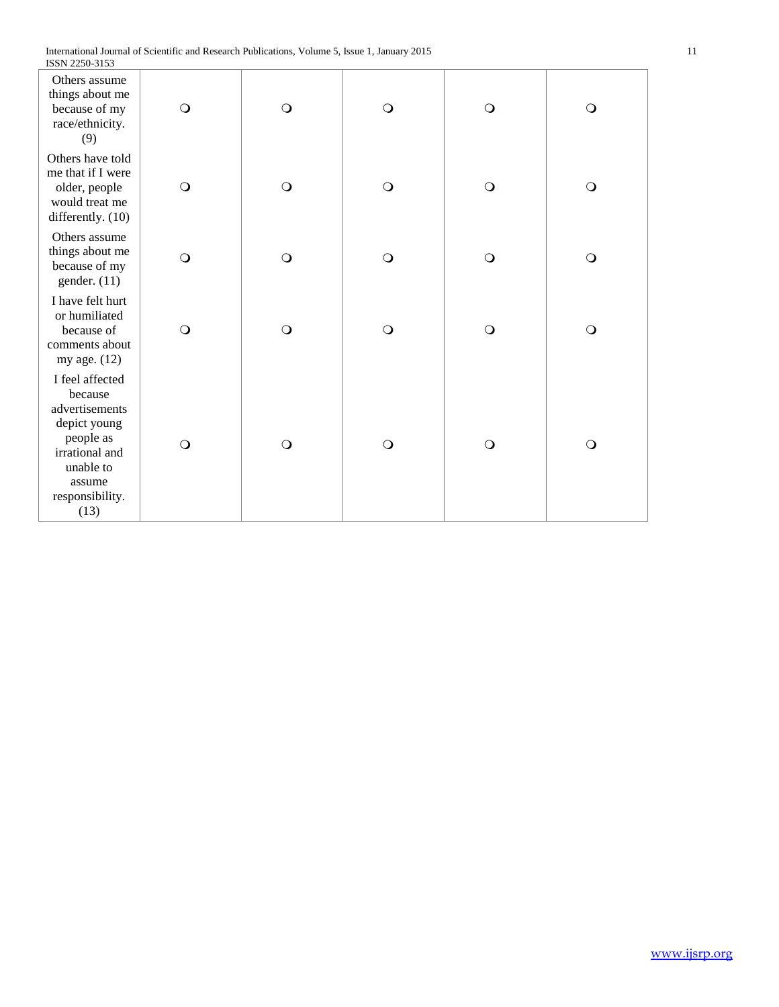| LOON 2200-3133                                                                                                                                |            |            |            |            |            |
|-----------------------------------------------------------------------------------------------------------------------------------------------|------------|------------|------------|------------|------------|
| Others assume<br>things about me<br>because of my<br>race/ethnicity.<br>(9)                                                                   | $\bigcirc$ | $\bigcirc$ | $\bigcirc$ | $\bigcirc$ | $\circ$    |
| Others have told<br>me that if I were<br>older, people<br>would treat me<br>differently. (10)                                                 | $\circ$    | $\bigcirc$ | $\circ$    | $\circ$    | $\circ$    |
| Others assume<br>things about me<br>because of my<br>gender. $(11)$                                                                           | $\bigcirc$ | $\bigcirc$ | $\bigcirc$ | $\bigcirc$ | $\bigcirc$ |
| I have felt hurt<br>or humiliated<br>because of<br>comments about<br>my age. (12)                                                             | $\bigcirc$ | $\bigcirc$ | $\bigcirc$ | $\bigcirc$ | $\circ$    |
| I feel affected<br>because<br>advertisements<br>depict young<br>people as<br>irrational and<br>unable to<br>assume<br>responsibility.<br>(13) | $\bigcirc$ | $\circ$    | $\circ$    | $\circ$    | $\circ$    |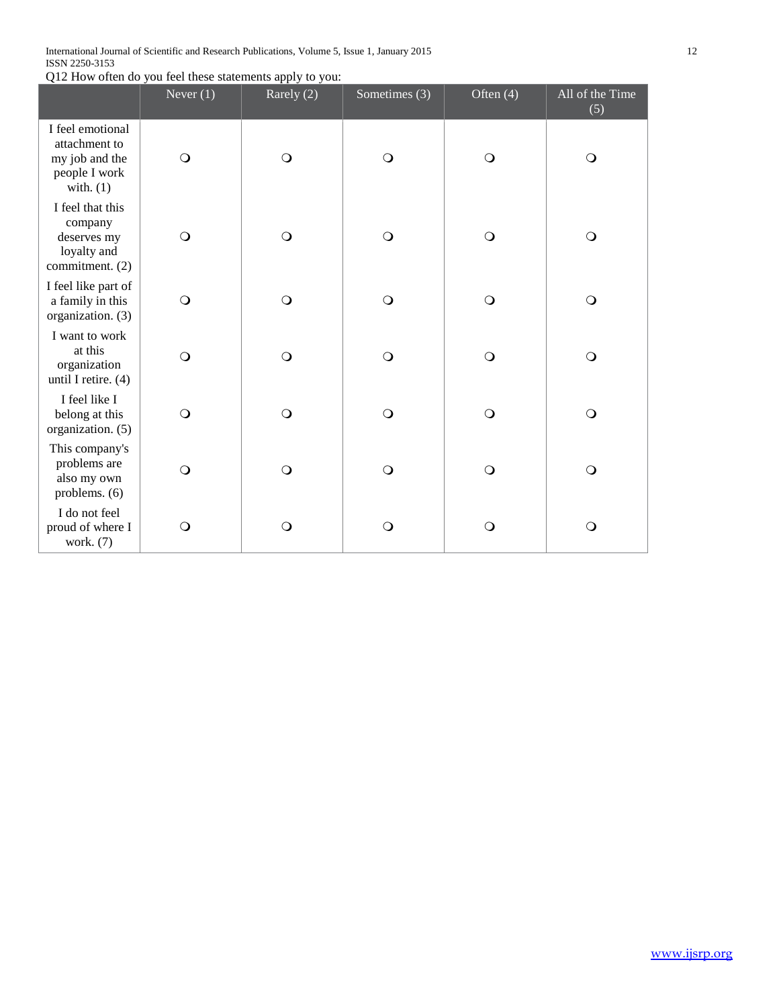International Journal of Scientific and Research Publications, Volume 5, Issue 1, January 2015 12 ISSN 2250-3153

Q12 How often do you feel these statements apply to you:

|                                                                                     | Never $(1)$ | Rarely (2) | Sometimes (3) | Often $(4)$ | All of the Time<br>(5) |
|-------------------------------------------------------------------------------------|-------------|------------|---------------|-------------|------------------------|
| I feel emotional<br>attachment to<br>my job and the<br>people I work<br>with. $(1)$ | $\circ$     | $\circ$    | $\bigcirc$    | $\circ$     | $\circ$                |
| I feel that this<br>company<br>deserves my<br>loyalty and<br>commitment. (2)        | $\circ$     | $\bigcirc$ | $\bigcirc$    | $\bigcirc$  | $\circ$                |
| I feel like part of<br>a family in this<br>organization. (3)                        | $\circ$     | $\bigcirc$ | $\circ$       | $\circ$     | $\circ$                |
| I want to work<br>at this<br>organization<br>until I retire. $(4)$                  | $\circ$     | $\bigcirc$ | $\circ$       | $\circ$     | $\circ$                |
| I feel like I<br>belong at this<br>organization. (5)                                | $\circ$     | $\bigcirc$ | $\circ$       | $\circ$     | $\circ$                |
| This company's<br>problems are<br>also my own<br>problems. (6)                      | $\circ$     | $\bigcirc$ | $\circ$       | $\circ$     | $\circ$                |
| I do not feel<br>proud of where I<br>work. (7)                                      | $\circ$     | $\bigcirc$ | $\circ$       | $\bigcirc$  | $\circ$                |